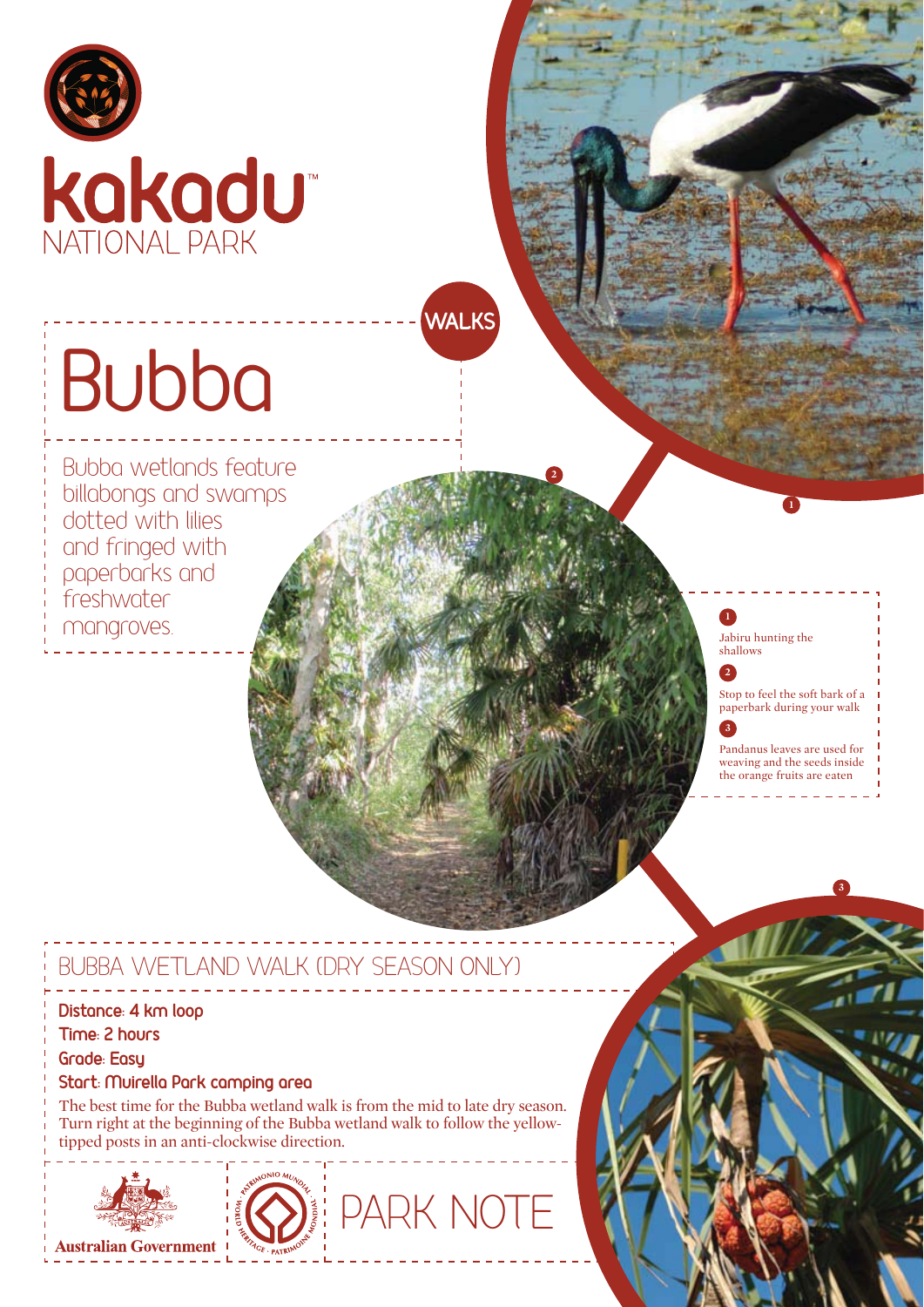

# Bubba

Bubba wetlands feature billabongs and swamps dotted with lilies and fringed with paperbarks and freshwater mangroves.

#### Jabiru hunting the shallows **1**

**2**

**2**

**WALKS** 

Stop to feel the soft bark of a paperbark during your walk

**1**

**3**

Pandanus leaves are used for weaving and the seeds inside the orange fruits are eaten

**3**

## BUBBA WETLAND WALK (DRY SEASON ONLY)

#### Distance: 4 km loop

**Time: 2 hours** 

**Grade: Easu** 

#### **If Start: Muirella Park camping area**

The best time for the Bubba wetland walk is from the mid to late dry season. Turn right at the beginning of the Bubba wetland walk to follow the yellowtipped posts in an anti-clockwise direction.





PARK NOT